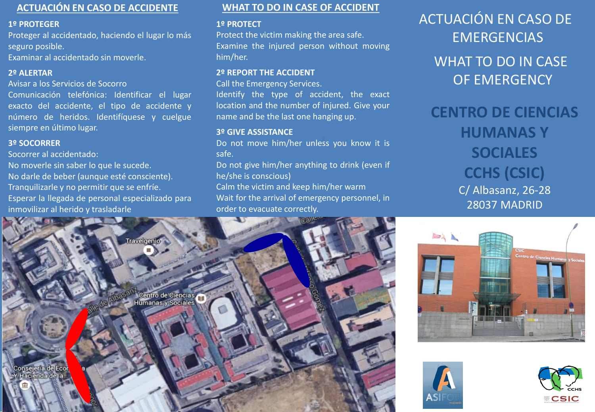# **ACTUACIÓN EN CASO DE ACCIDENTE**

#### **1º PROTEGER**

Proteger al accidentado, haciendo el lugar lo más seguro posible.

Examinar al accidentado sin moverle.

#### **2º ALERTAR**

Avisar a los Servicios de Socorro

Comunicación telefónica: Identificar el lugar exacto del accidente, el tipo de accidente y número de heridos. Identifíquese y cuelgue siempre en último lugar.

### **3º SOCORRER**

Socorrer al accidentado:

No moverle sin saber lo que le sucede.

No darle de beber (aunque esté consciente). Tranquilizarle y no permitir que se enfríe. Esperar la llegada de personal especializado para inmovilizar al herido y trasladarle

**MEETING POINT** 

**WHAT TO DO IN CASE OF ACCIDENT**

#### **1º PROTECT**

Protect the victim making the area safe. Examine the injured person without moving him/her.

#### **2º REPORT THE ACCIDENT**

Call the Emergency Services.

Identify the type of accident, the exact location and the number of injured. Give your name and be the last one hanging up.

## **3º GIVE ASSISTANCE**

Do not move him/her unless you know it is safe.

Do not give him/her anything to drink (even if he/she is conscious)

Calm the victim and keep him/her warm Wait for the arrival of emergency personnel, in order to evacuate correctly.

ACTUACIÓN EN CASO DE **EMERGENCIAS** WHAT TO DO IN CASE OF EMERGENCY

**CENTRO DE CIENCIAS HUMANAS Y SOCIALES CCHS (CSIC)** C/ Albasanz, 26-28 28037 MADRID



Centro de Ciencias

**PUNTO DE REUNIÓN**





i j